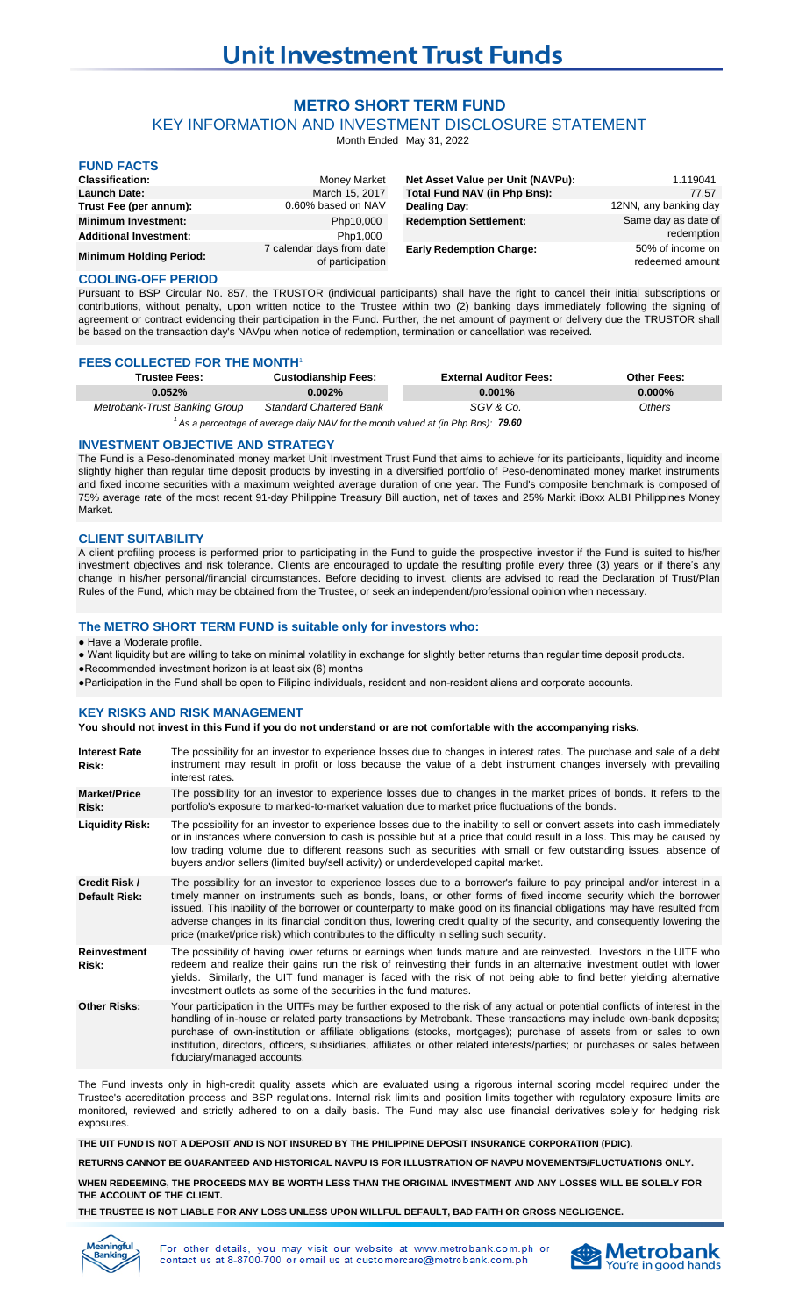# **METRO SHORT TERM FUND**

KEY INFORMATION AND INVESTMENT DISCLOSURE STATEMENT

Month Ended May 31, 2022

| <b>FUND FACTS</b>              |                                               |                                   |                                     |
|--------------------------------|-----------------------------------------------|-----------------------------------|-------------------------------------|
| <b>Classification:</b>         | Money Market                                  | Net Asset Value per Unit (NAVPu): | 1.119041                            |
| <b>Launch Date:</b>            | March 15, 2017                                | Total Fund NAV (in Php Bns):      | 77.57                               |
| Trust Fee (per annum):         | 0.60% based on NAV                            | Dealing Day:                      | 12NN, any banking day               |
| <b>Minimum Investment:</b>     | Php10,000                                     | <b>Redemption Settlement:</b>     | Same day as date of                 |
| <b>Additional Investment:</b>  | Php1,000                                      |                                   | redemption                          |
| <b>Minimum Holding Period:</b> | 7 calendar days from date<br>of participation | <b>Early Redemption Charge:</b>   | 50% of income on<br>redeemed amount |

# **COOLING-OFF PERIOD**

Pursuant to BSP Circular No. 857, the TRUSTOR (individual participants) shall have the right to cancel their initial subscriptions or contributions, without penalty, upon written notice to the Trustee within two (2) banking days immediately following the signing of agreement or contract evidencing their participation in the Fund. Further, the net amount of payment or delivery due the TRUSTOR shall be based on the transaction day's NAVpu when notice of redemption, termination or cancellation was received.

### **FEES COLLECTED FOR THE MONTH**

| <b>Trustee Fees:</b>          | <b>Custodianship Fees:</b>     | <b>External Auditor Fees:</b> | <b>Other Fees:</b> |
|-------------------------------|--------------------------------|-------------------------------|--------------------|
| 0.052%                        | $0.002\%$                      | $0.001\%$                     | $0.000\%$          |
| Metrobank-Trust Banking Group | <b>Standard Chartered Bank</b> | SGV & Co.                     | Others             |

<sup>1</sup> As a percentage of average daily NAV for the month valued at (in Php Bns): **79.60** 

## **INVESTMENT OBJECTIVE AND STRATEGY**

The Fund is a Peso-denominated money market Unit Investment Trust Fund that aims to achieve for its participants, liquidity and income slightly higher than regular time deposit products by investing in a diversified portfolio of Peso-denominated money market instruments and fixed income securities with a maximum weighted average duration of one year. The Fund's composite benchmark is composed of 75% average rate of the most recent 91-day Philippine Treasury Bill auction, net of taxes and 25% Markit iBoxx ALBI Philippines Money Market.

### **CLIENT SUITABILITY**

A client profiling process is performed prior to participating in the Fund to guide the prospective investor if the Fund is suited to his/her investment objectives and risk tolerance. Clients are encouraged to update the resulting profile every three (3) years or if there's any change in his/her personal/financial circumstances. Before deciding to invest, clients are advised to read the Declaration of Trust/Plan Rules of the Fund, which may be obtained from the Trustee, or seek an independent/professional opinion when necessary.

# **The METRO SHORT TERM FUND is suitable only for investors who:**

### ● Have a Moderate profile.

● Want liquidity but are willing to take on minimal volatility in exchange for slightly better returns than regular time deposit products. ●Recommended investment horizon is at least six (6) months

●Participation in the Fund shall be open to Filipino individuals, resident and non-resident aliens and corporate accounts.

### **KEY RISKS AND RISK MANAGEMENT**

**You should not invest in this Fund if you do not understand or are not comfortable with the accompanying risks.**

| <b>Interest Rate</b><br>Risk:  | The possibility for an investor to experience losses due to changes in interest rates. The purchase and sale of a debt<br>instrument may result in profit or loss because the value of a debt instrument changes inversely with prevailing<br>interest rates.                                                                                                                                                                                                                                                                                                                            |
|--------------------------------|------------------------------------------------------------------------------------------------------------------------------------------------------------------------------------------------------------------------------------------------------------------------------------------------------------------------------------------------------------------------------------------------------------------------------------------------------------------------------------------------------------------------------------------------------------------------------------------|
| <b>Market/Price</b><br>Risk:   | The possibility for an investor to experience losses due to changes in the market prices of bonds. It refers to the<br>portfolio's exposure to marked-to-market valuation due to market price fluctuations of the bonds.                                                                                                                                                                                                                                                                                                                                                                 |
| <b>Liquidity Risk:</b>         | The possibility for an investor to experience losses due to the inability to sell or convert assets into cash immediately<br>or in instances where conversion to cash is possible but at a price that could result in a loss. This may be caused by<br>low trading volume due to different reasons such as securities with small or few outstanding issues, absence of<br>buyers and/or sellers (limited buy/sell activity) or underdeveloped capital market.                                                                                                                            |
| Credit Risk /<br>Default Risk: | The possibility for an investor to experience losses due to a borrower's failure to pay principal and/or interest in a<br>timely manner on instruments such as bonds, loans, or other forms of fixed income security which the borrower<br>issued. This inability of the borrower or counterparty to make good on its financial obligations may have resulted from<br>adverse changes in its financial condition thus, lowering credit quality of the security, and consequently lowering the<br>price (market/price risk) which contributes to the difficulty in selling such security. |
| Reinvestment<br>Risk:          | The possibility of having lower returns or earnings when funds mature and are reinvested. Investors in the UITF who<br>redeem and realize their gains run the risk of reinvesting their funds in an alternative investment outlet with lower<br>yields. Similarly, the UIT fund manager is faced with the risk of not being able to find better yielding alternative<br>investment outlets as some of the securities in the fund matures.                                                                                                                                                |
| <b>Other Risks:</b>            | Your participation in the UITFs may be further exposed to the risk of any actual or potential conflicts of interest in the<br>handling of in-house or related party transactions by Metrobank. These transactions may include own-bank deposits;<br>purchase of own-institution or affiliate obligations (stocks, mortgages); purchase of assets from or sales to own<br>institution, directors, officers, subsidiaries, affiliates or other related interests/parties; or purchases or sales between<br>fiduciary/managed accounts.                                                     |

The Fund invests only in high-credit quality assets which are evaluated using a rigorous internal scoring model required under the Trustee's accreditation process and BSP regulations. Internal risk limits and position limits together with regulatory exposure limits are monitored, reviewed and strictly adhered to on a daily basis. The Fund may also use financial derivatives solely for hedging risk exposures.

**THE UIT FUND IS NOT A DEPOSIT AND IS NOT INSURED BY THE PHILIPPINE DEPOSIT INSURANCE CORPORATION (PDIC).**

**RETURNS CANNOT BE GUARANTEED AND HISTORICAL NAVPU IS FOR ILLUSTRATION OF NAVPU MOVEMENTS/FLUCTUATIONS ONLY.**

**WHEN REDEEMING, THE PROCEEDS MAY BE WORTH LESS THAN THE ORIGINAL INVESTMENT AND ANY LOSSES WILL BE SOLELY FOR THE ACCOUNT OF THE CLIENT.**

**THE TRUSTEE IS NOT LIABLE FOR ANY LOSS UNLESS UPON WILLFUL DEFAULT, BAD FAITH OR GROSS NEGLIGENCE.**



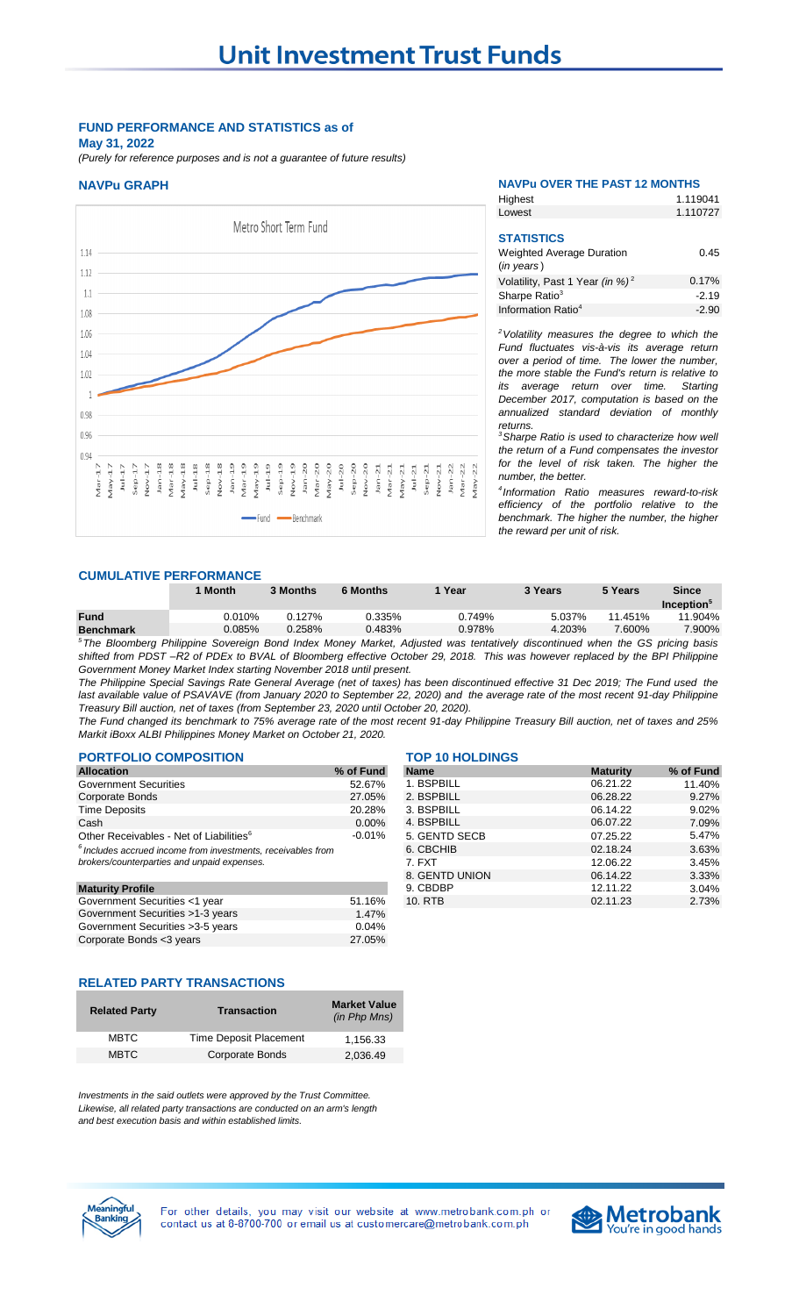# **FUND PERFORMANCE AND STATISTICS as of May 31, 2022**

*(Purely for reference purposes and is not a guarantee of future results)*



### **NAVPu GRAPH NAVPu OVER THE PAST 12 MONTHS**

**Highest** 

1.119041

| Lowest                                                   | 1.110727 |
|----------------------------------------------------------|----------|
| <b>STATISTICS</b>                                        |          |
| <b>Weighted Average Duration</b><br>$(in \text{ years})$ | 0.45     |
| Volatility, Past 1 Year (in %) <sup>2</sup>              | 0.17%    |
| Sharpe Ratio <sup>3</sup>                                | $-2.19$  |
| Information Ratio <sup>4</sup>                           | $-2.90$  |

*<sup>2</sup>Volatility measures the degree to which the Fund fluctuates vis-à-vis its average return over a period of time. The lower the number, the more stable the Fund's return is relative to its average return over time. Starting December 2017, computation is based on the annualized standard deviation of monthly returns.* 

*<sup>3</sup>Sharpe Ratio is used to characterize how well the return of a Fund compensates the investor for the level of risk taken. The higher the number, the better.*

*4 Information Ratio measures reward-to-risk efficiency of the portfolio relative to the benchmark. The higher the number, the higher the reward per unit of risk.*

### **CUMULATIVE PERFORMANCE**

|                  | <b>Month</b> | 3 Months | <b>6 Months</b> | Year   | 3 Years | 5 Years | <b>Since</b>                  |
|------------------|--------------|----------|-----------------|--------|---------|---------|-------------------------------|
|                  |              |          |                 |        |         |         | <b>Inception</b> <sup>3</sup> |
| <b>Fund</b>      | $0.010\%$    | 0.127%   | 0.335%          | 0.749% | 5.037%  | 11.451% | .904%<br>11                   |
| <b>Benchmark</b> | $0.085\%$    | 0.258%   | $0.483\%$       | 0.978% | 4.203%  | 7.600%  | 7.900%                        |
| $5 -$<br>$ -$    | _<br>$\sim$  | $\sim$   | .               |        |         |         |                               |

<sup>5</sup>The Bloomberg Philippine Sovereign Bond Index Money Market, Adjusted was tentatively discontinued when the GS pricing basis shifted from PDST-R2 of PDEx to BVAL of Bloomberg effective October 29, 2018. This was however replaced by the BPI Philippine *Government Money Market Index starting November 2018 until present.* 

The Philippine Special Savings Rate General Average (net of taxes) has been discontinued effective 31 Dec 2019; The Fund used the last available value of PSAVAVE (from January 2020 to September 22, 2020) and the average rate of the most recent 91-day Philippine *Treasury Bill auction, net of taxes (from September 23, 2020 until October 20, 2020).* 

The Fund changed its benchmark to 75% average rate of the most recent 91-day Philippine Treasury Bill auction, net of taxes and 25% *Markit iBoxx ALBI Philippines Money Market on October 21, 2020.*

# **PORTFOLIO COMPOSITION TOP 10 HOLDINGS**

| <b>Allocation</b>                                              | % of Fund |
|----------------------------------------------------------------|-----------|
| <b>Government Securities</b>                                   | 52.67%    |
| <b>Corporate Bonds</b>                                         | 27.05%    |
| <b>Time Deposits</b>                                           | 20.28%    |
| Cash                                                           | 0.00%     |
| Other Receivables - Net of Liabilities <sup>6</sup>            | $-0.01%$  |
| $6$ Includes accrued income from investments, receivables from |           |
| brokers/counterparties and unpaid expenses.                    |           |
|                                                                |           |
| <b>Maturity Profile</b>                                        |           |

| Government Securities <1 year     | 51.16% |
|-----------------------------------|--------|
| Government Securities >1-3 years  | 1.47%  |
| Government Securities > 3-5 years | 0.04%  |
| Corporate Bonds <3 years          | 27.05% |
|                                   |        |

| <b>Allocation</b>                                              | % of Fund | <b>Name</b>    | <b>Maturity</b> | % of Fund |
|----------------------------------------------------------------|-----------|----------------|-----------------|-----------|
| Government Securities                                          | 52.67%    | 1. BSPBILL     | 06.21.22        | 11.40%    |
| Corporate Bonds                                                | 27.05%    | 2. BSPBILL     | 06.28.22        | 9.27%     |
| <b>Time Deposits</b>                                           | 20.28%    | 3. BSPBILL     | 06.14.22        | 9.02%     |
| Cash                                                           | $0.00\%$  | 4. BSPBILL     | 06.07.22        | 7.09%     |
| Other Receivables - Net of Liabilities <sup>6</sup>            | $-0.01%$  | 5. GENTD SECB  | 07.25.22        | 5.47%     |
| $6$ Includes accrued income from investments, receivables from |           | 6. CBCHIB      | 02.18.24        | 3.63%     |
| brokers/counterparties and unpaid expenses.                    |           | 7. FXT         | 12.06.22        | 3.45%     |
|                                                                |           | 8. GENTD UNION | 06.14.22        | 3.33%     |
| <b>Maturity Profile</b>                                        |           | 9. CBDBP       | 12.11.22        | 3.04%     |
| Government Securities <1 year                                  | 51.16%    | 10. RTB        | 02.11.23        | 2.73%     |
|                                                                |           |                |                 |           |

# **RELATED PARTY TRANSACTIONS**

| <b>Related Party</b> | <b>Transaction</b>     | <b>Market Value</b><br>(in Php Mns) |
|----------------------|------------------------|-------------------------------------|
| <b>MBTC</b>          | Time Deposit Placement | 1.156.33                            |
| <b>MBTC</b>          | <b>Corporate Bonds</b> | 2.036.49                            |

*Investments in the said outlets were approved by the Trust Committee. Likewise, all related party transactions are conducted on an arm's length and best execution basis and within established limits.*





For other details, you may visit our website at www.metrobank.com.ph or contact us at 8-8700-700 or email us at customercare@metrobank.com.ph